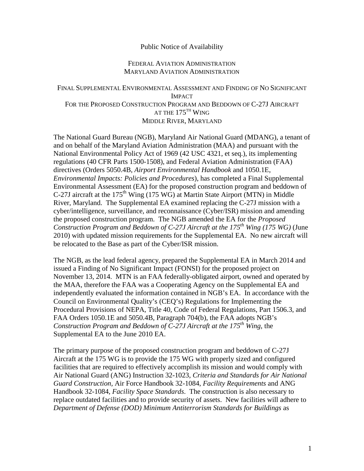## Public Notice of Availability

## FEDERAL AVIATION ADMINISTRATION MARYLAND AVIATION ADMINISTRATION

## FINAL SUPPLEMENTAL ENVIRONMENTAL ASSESSMENT AND FINDING OF NO SIGNIFICANT IMPACT FOR THE PROPOSED CONSTRUCTION PROGRAM AND BEDDOWN OF C-27J AIRCRAFT AT THE  $175^{\text{th}}$  WING MIDDLE RIVER, MARYLAND

The National Guard Bureau (NGB), Maryland Air National Guard (MDANG), a tenant of and on behalf of the Maryland Aviation Administration (MAA) and pursuant with the National Environmental Policy Act of 1969 (42 USC 4321, et seq.), its implementing regulations (40 CFR Parts 1500-1508), and Federal Aviation Administration (FAA) directives (Orders 5050.4B, *Airport Environmental Handbook* and 1050.1E, *Environmental Impacts: Policies and Procedures*), has completed a Final Supplemental Environmental Assessment (EA) for the proposed construction program and beddown of C-27J aircraft at the 175<sup>th</sup> Wing (175 WG) at Martin State Airport (MTN) in Middle River, Maryland. The Supplemental EA examined replacing the C-27J mission with a cyber/intelligence, surveillance, and reconnaissance (Cyber/ISR) mission and amending the proposed construction program. The NGB amended the EA for the *Proposed Construction Program and Beddown of C-27J Aircraft at the 175th Wing (175 WG)* (June 2010) with updated mission requirements for the Supplemental EA. No new aircraft will be relocated to the Base as part of the Cyber/ISR mission.

The NGB, as the lead federal agency, prepared the Supplemental EA in March 2014 and issued a Finding of No Significant Impact (FONSI) for the proposed project on November 13, 2014. MTN is an FAA federally-obligated airport, owned and operated by the MAA, therefore the FAA was a Cooperating Agency on the Supplemental EA and independently evaluated the information contained in NGB's EA. In accordance with the Council on Environmental Quality's (CEQ's) Regulations for Implementing the Procedural Provisions of NEPA, Title 40, Code of Federal Regulations, Part 1506.3, and FAA Orders 1050.1E and 5050.4B, Paragraph 704(b), the FAA adopts NGB's *Construction Program and Beddown of C-27J Aircraft at the 175th Wing*, the Supplemental EA to the June 2010 EA.

The primary purpose of the proposed construction program and beddown of C-27J Aircraft at the 175 WG is to provide the 175 WG with properly sized and configured facilities that are required to effectively accomplish its mission and would comply with Air National Guard (ANG) Instruction 32-1023, *Criteria and Standards for Air National Guard Construction,* Air Force Handbook 32-1084, *Facility Requirements* and ANG Handbook 32-1084, *Facility Space Standards*. The construction is also necessary to replace outdated facilities and to provide security of assets. New facilities will adhere to *Department of Defense (DOD) Minimum Antiterrorism Standards for Buildings* as